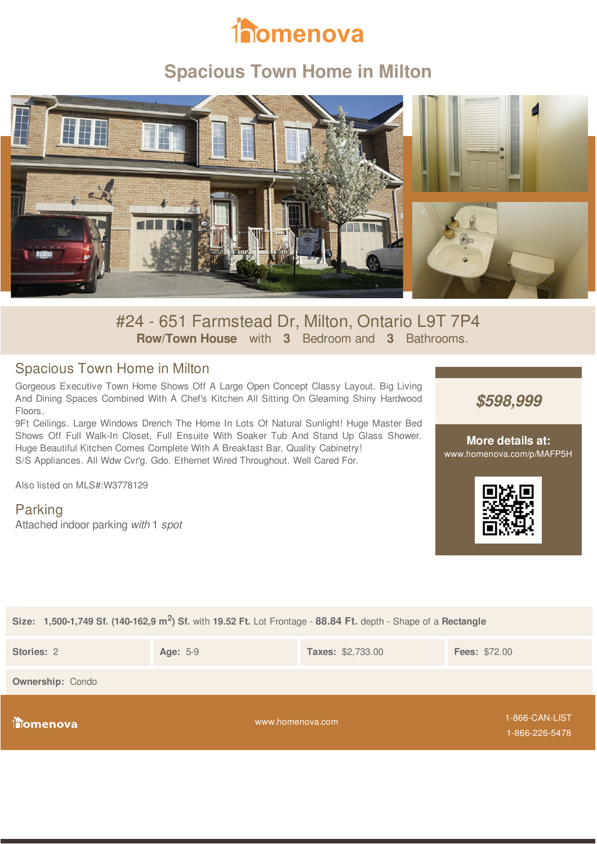# **inomenova**

# **Spacious Town Home in Milton**



#24 - 651 Farmstead Dr, Milton, Ontario L9T 7P4 **Row/Town House** with **3** Bedroom and **3** Bathrooms.

## Spacious Town Home in Milton

Gorgeous Executive Town Home Shows Off A Large Open Concept Classy Layout. Big Living And Dining Spaces Combined With A Chef's Kitchen All Sitting On Gleaming Shiny Hardwood Floors.

9Ft Ceilings. Large Windows Drench The Home In Lots Of Natural Sunlight! Huge Master Bed Shows Off Full Walk-In Closet, Full Ensuite With Soaker Tub And Stand Up Glass Shower. Huge Beautiful Kitchen Comes Complete With A Breakfast Bar, Quality Cabinetry! S/S Appliances. All Wdw Cvr'g. Gdo. Ethernet Wired Throughout. Well Cared For.

Also listed on MLS#:W3778129

Parking Attached indoor parking *with* 1 *spot* *\$598,999*

**More details at:** www.homenova.com/p/MAFP5H



#### **Size: 1,500-1,749 Sf. (140-162,9 m<sup>2</sup> ) Sf.** with **19.52 Ft.** Lot Frontage - **88.84 Ft.** depth - Shape of a **Rectangle**